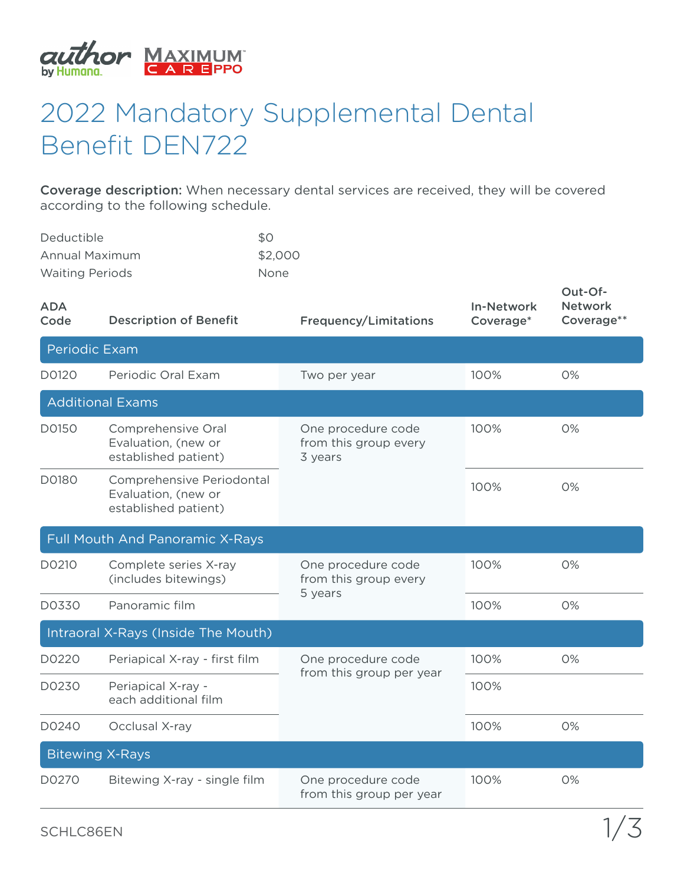

## 2022 Mandatory Supplemental Dental Benefit DEN722

Coverage description: When necessary dental services are received, they will be covered according to the following schedule.

| <b>Deductible</b>      | <b>SO</b>   |
|------------------------|-------------|
| Annual Maximum         | \$2,000     |
| <b>Waiting Periods</b> | <b>None</b> |

| <b>ADA</b><br>Code              | <b>Description of Benefit</b>                                            | <b>Frequency/Limitations</b>                           | <b>In-Network</b><br>Coverage* | Out-Of-<br><b>Network</b><br>Coverage** |  |  |
|---------------------------------|--------------------------------------------------------------------------|--------------------------------------------------------|--------------------------------|-----------------------------------------|--|--|
| <b>Periodic Exam</b>            |                                                                          |                                                        |                                |                                         |  |  |
| D0120                           | Periodic Oral Exam                                                       | Two per year                                           | 100%                           | 0%                                      |  |  |
|                                 | <b>Additional Exams</b>                                                  |                                                        |                                |                                         |  |  |
| D0150                           | Comprehensive Oral<br>Evaluation, (new or<br>established patient)        | One procedure code<br>from this group every<br>3 years | 100%                           | 0%                                      |  |  |
| D0180                           | Comprehensive Periodontal<br>Evaluation, (new or<br>established patient) |                                                        | 100%                           | 0%                                      |  |  |
| Full Mouth And Panoramic X-Rays |                                                                          |                                                        |                                |                                         |  |  |
| D0210                           | Complete series X-ray<br>(includes bitewings)                            | One procedure code<br>from this group every<br>5 years | 100%                           | 0%                                      |  |  |
| D0330                           | Panoramic film                                                           |                                                        | 100%                           | 0%                                      |  |  |
|                                 | Intraoral X-Rays (Inside The Mouth)                                      |                                                        |                                |                                         |  |  |
| D0220                           | Periapical X-ray - first film                                            | One procedure code<br>from this group per year         | 100%                           | 0%                                      |  |  |
| D0230                           | Periapical X-ray -<br>each additional film                               |                                                        | 100%                           |                                         |  |  |
| D0240                           | Occlusal X-ray                                                           |                                                        | 100%                           | 0%                                      |  |  |
| <b>Bitewing X-Rays</b>          |                                                                          |                                                        |                                |                                         |  |  |
| D0270                           | Bitewing X-ray - single film                                             | One procedure code<br>from this group per year         | 100%                           | 0%                                      |  |  |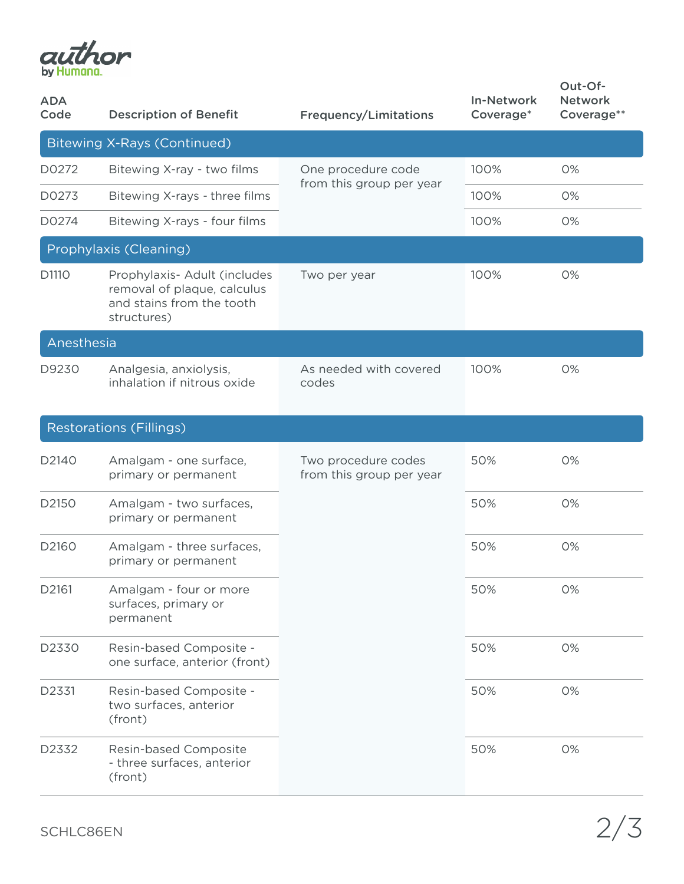

| <b>ADA</b><br>Code | <b>Description of Benefit</b>                                                                           | <b>Frequency/Limitations</b>                    | <b>In-Network</b><br>Coverage* | Out-Of-<br><b>Network</b><br>Coverage** |
|--------------------|---------------------------------------------------------------------------------------------------------|-------------------------------------------------|--------------------------------|-----------------------------------------|
|                    | <b>Bitewing X-Rays (Continued)</b>                                                                      |                                                 |                                |                                         |
| D0272              | Bitewing X-ray - two films                                                                              | One procedure code<br>from this group per year  | 100%                           | 0%                                      |
| D0273              | Bitewing X-rays - three films                                                                           |                                                 | 100%                           | 0%                                      |
| D0274              | Bitewing X-rays - four films                                                                            |                                                 | 100%                           | 0%                                      |
|                    | Prophylaxis (Cleaning)                                                                                  |                                                 |                                |                                         |
| D1110              | Prophylaxis- Adult (includes<br>removal of plaque, calculus<br>and stains from the tooth<br>structures) | Two per year                                    | 100%                           | 0%                                      |
| Anesthesia         |                                                                                                         |                                                 |                                |                                         |
| D9230              | Analgesia, anxiolysis,<br>inhalation if nitrous oxide                                                   | As needed with covered<br>codes                 | 100%                           | 0%                                      |
|                    | <b>Restorations (Fillings)</b>                                                                          |                                                 |                                |                                         |
| D2140              | Amalgam - one surface,<br>primary or permanent                                                          | Two procedure codes<br>from this group per year | 50%                            | 0%                                      |
| D2150              | Amalgam - two surfaces,<br>primary or permanent                                                         |                                                 | 50%                            | 0%                                      |
| D2160              | Amalgam - three surfaces,<br>primary or permanent                                                       |                                                 | 50%                            | 0%                                      |
| D2161              | Amalgam - four or more<br>surfaces, primary or<br>permanent                                             |                                                 | 50%                            | 0%                                      |
| D2330              | Resin-based Composite -<br>one surface, anterior (front)                                                |                                                 | 50%                            | 0%                                      |
| D2331              | Resin-based Composite -<br>two surfaces, anterior<br>(front)                                            |                                                 | 50%                            | 0%                                      |
| D2332              | Resin-based Composite<br>- three surfaces, anterior<br>(front)                                          |                                                 | 50%                            | 0%                                      |